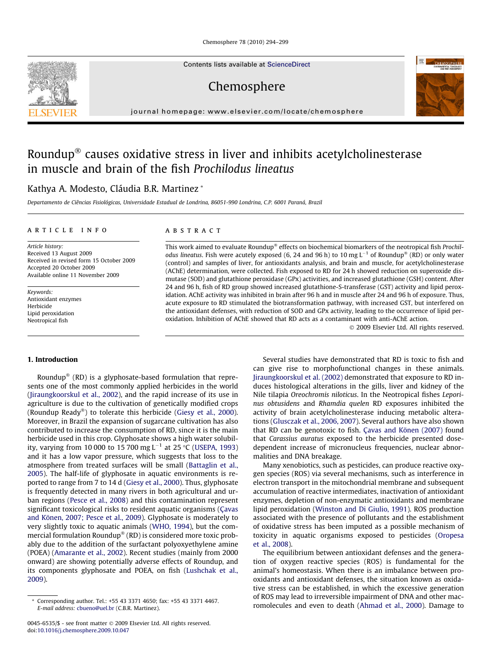Chemosphere 78 (2010) 294–299

Contents lists available at [ScienceDirect](http://www.sciencedirect.com/science/journal/00456535)

Chemosphere

journal homepage: [www.elsevier.com/locate/chemosphere](http://www.elsevier.com/locate/chemosphere)

# Roundup $^\circledast$  causes oxidative stress in liver and inhibits acetylcholinesterase in muscle and brain of the fish Prochilodus lineatus

# Kathya A. Modesto, Cláudia B.R. Martinez \*

Departamento de Ciências Fisiológicas, Universidade Estadual de Londrina, 86051-990 Londrina, C.P. 6001 Paraná, Brazil

# article info

Article history: Received 13 August 2009 Received in revised form 15 October 2009 Accepted 20 October 2009 Available online 11 November 2009

Keywords: Antioxidant enzymes Herbicide Lipid peroxidation Neotropical fish

# ABSTRACT

This work aimed to evaluate Roundup® effects on biochemical biomarkers of the neotropical fish Prochil*odus lineatus.* Fish were acutely exposed (6, 24 and 96 h) to 10 mg L<sup>-1</sup> of Roundup® (RD) or only water (control) and samples of liver, for antioxidants analysis, and brain and muscle, for acetylcholinesterase (AChE) determination, were collected. Fish exposed to RD for 24 h showed reduction on superoxide dismutase (SOD) and glutathione peroxidase (GPx) activities, and increased glutathione (GSH) content. After 24 and 96 h, fish of RD group showed increased glutathione-S-transferase (GST) activity and lipid peroxidation. AChE activity was inhibited in brain after 96 h and in muscle after 24 and 96 h of exposure. Thus, acute exposure to RD stimulated the biotransformation pathway, with increased GST, but interfered on the antioxidant defenses, with reduction of SOD and GPx activity, leading to the occurrence of lipid peroxidation. Inhibition of AChE showed that RD acts as a contaminant with anti-AChE action.

2009 Elsevier Ltd. All rights reserved.

### 1. Introduction

Roundup $^{\circledast}$  (RD) is a glyphosate-based formulation that represents one of the most commonly applied herbicides in the world ([Jiraungkoorskul et al., 2002\)](#page-5-0), and the rapid increase of its use in agriculture is due to the cultivation of genetically modified crops (Roundup Ready®) to tolerate this herbicide ([Giesy et al., 2000\)](#page-4-0). Moreover, in Brazil the expansion of sugarcane cultivation has also contributed to increase the consumption of RD, since it is the main herbicide used in this crop. Glyphosate shows a high water solubility, varying from 10 000 to 15 700 mg L $^{-1}$  at 25 °C [\(USEPA, 1993\)](#page-5-0) and it has a low vapor pressure, which suggests that loss to the atmosphere from treated surfaces will be small ([Battaglin et al.,](#page-4-0) [2005\)](#page-4-0). The half-life of glyphosate in aquatic environments is reported to range from 7 to 14 d ([Giesy et al., 2000\)](#page-4-0). Thus, glyphosate is frequently detected in many rivers in both agricultural and urban regions [\(Pesce et al., 2008\)](#page-5-0) and this contamination represent significant toxicological risks to resident aquatic organisms [\(Çavas](#page-4-0) [and Könen, 2007; Pesce et al., 2009](#page-4-0)). Glyphosate is moderately to very slightly toxic to aquatic animals [\(WHO, 1994\)](#page-5-0), but the commercial formulation Roundup® (RD) is considered more toxic probably due to the addition of the surfactant polyoxyethylene amine (POEA) ([Amarante et al., 2002\)](#page-4-0). Recent studies (mainly from 2000 onward) are showing potentially adverse effects of Roundup, and its components glyphosate and POEA, on fish [\(Lushchak et al.,](#page-5-0) [2009\)](#page-5-0).

Several studies have demonstrated that RD is toxic to fish and can give rise to morphofunctional changes in these animals. [Jiraungkoorskul et al. \(2002\)](#page-5-0) demonstrated that exposure to RD induces histological alterations in the gills, liver and kidney of the Nile tilapia Oreochromis niloticus. In the Neotropical fishes Leporinus obtusidens and Rhamdia quelen RD exposures inhibited the activity of brain acetylcholinesterase inducing metabolic alterations [\(Glusczak et al., 2006, 2007](#page-4-0)). Several authors have also shown that RD can be genotoxic to fish. [Çavas and Könen \(2007\)](#page-4-0) found that Carassius auratus exposed to the herbicide presented dosedependent increase of micronucleus frequencies, nuclear abnormalities and DNA breakage.

Many xenobiotics, such as pesticides, can produce reactive oxygen species (ROS) via several mechanisms, such as interference in electron transport in the mitochondrial membrane and subsequent accumulation of reactive intermediates, inactivation of antioxidant enzymes, depletion of non-enzymatic antioxidants and membrane lipid peroxidation ([Winston and Di Giulio, 1991](#page-5-0)). ROS production associated with the presence of pollutants and the establishment of oxidative stress has been imputed as a possible mechanism of toxicity in aquatic organisms exposed to pesticides ([Oropesa](#page-5-0) [et al., 2008\)](#page-5-0).

The equilibrium between antioxidant defenses and the generation of oxygen reactive species (ROS) is fundamental for the animal's homeostasis. When there is an imbalance between prooxidants and antioxidant defenses, the situation known as oxidative stress can be established, in which the excessive generation of ROS may lead to irreversible impairment of DNA and other macromolecules and even to death ([Ahmad et al., 2000\)](#page-4-0). Damage to





<sup>\*</sup> Corresponding author. Tel.: +55 43 3371 4650; fax: +55 43 3371 4467. E-mail address: [cbueno@uel.br](mailto:cbueno@uel.br) (C.B.R. Martinez).

<sup>0045-6535/\$ -</sup> see front matter 2009 Elsevier Ltd. All rights reserved. doi:[10.1016/j.chemosphere.2009.10.047](http://dx.doi.org/10.1016/j.chemosphere.2009.10.047)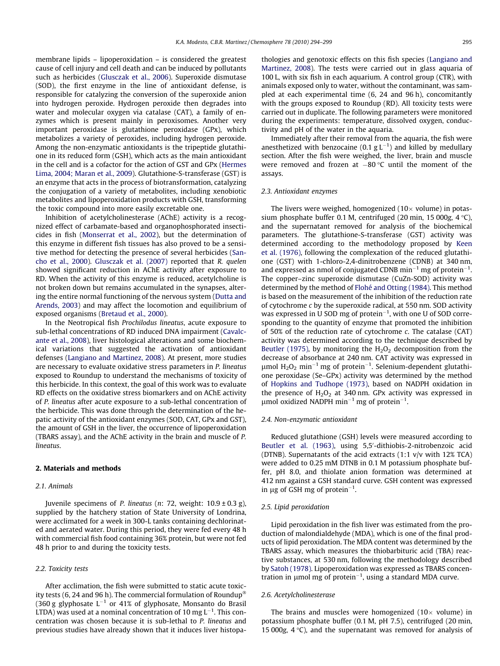membrane lipids – lipoperoxidation – is considered the greatest cause of cell injury and cell death and can be induced by pollutants such as herbicides [\(Glusczak et al., 2006\)](#page-4-0). Superoxide dismutase (SOD), the first enzyme in the line of antioxidant defense, is responsible for catalyzing the conversion of the superoxide anion into hydrogen peroxide. Hydrogen peroxide then degrades into water and molecular oxygen via catalase (CAT), a family of enzymes which is present mainly in peroxisomes. Another very important peroxidase is glutathione peroxidase (GPx), which metabolizes a variety of peroxides, including hydrogen peroxide. Among the non-enzymatic antioxidants is the tripeptide glutathione in its reduced form (GSH), which acts as the main antioxidant in the cell and is a cofactor for the action of GST and GPx [\(Hermes](#page-4-0) [Lima, 2004; Maran et al., 2009](#page-4-0)). Glutathione-S-transferase (GST) is an enzyme that acts in the process of biotransformation, catalyzing the conjugation of a variety of metabolites, including xenobiotic metabolites and lipoperoxidation products with GSH, transforming the toxic compound into more easily excretable one.

Inhibition of acetylcholinesterase (AChE) activity is a recognized effect of carbamate-based and organophosphorated insecticides in fish [\(Monserrat et al., 2002](#page-5-0)), but the determination of this enzyme in different fish tissues has also proved to be a sensitive method for detecting the presence of several herbicides ([San](#page-5-0)[cho et al., 2000](#page-5-0)). [Glusczak et al. \(2007\)](#page-4-0) reported that R. quelen showed significant reduction in AChE activity after exposure to RD. When the activity of this enzyme is reduced, acetylcholine is not broken down but remains accumulated in the synapses, altering the entire normal functioning of the nervous system [\(Dutta and](#page-4-0) [Arends, 2003\)](#page-4-0) and may affect the locomotion and equilibrium of exposed organisms ([Bretaud et al., 2000\)](#page-4-0).

In the Neotropical fish Prochilodus lineatus, acute exposure to sub-lethal concentrations of RD induced DNA impairment ([Cavalc](#page-4-0)[ante et al., 2008](#page-4-0)), liver histological alterations and some biochemical variations that suggested the activation of antioxidant defenses ([Langiano and Martinez, 2008](#page-5-0)). At present, more studies are necessary to evaluate oxidative stress parameters in P. lineatus exposed to Roundup to understand the mechanisms of toxicity of this herbicide. In this context, the goal of this work was to evaluate RD effects on the oxidative stress biomarkers and on AChE activity of P. lineatus after acute exposure to a sub-lethal concentration of the herbicide. This was done through the determination of the hepatic activity of the antioxidant enzymes (SOD, CAT, GPx and GST), the amount of GSH in the liver, the occurrence of lipoperoxidation (TBARS assay), and the AChE activity in the brain and muscle of P. lineatus.

#### 2. Materials and methods

# 2.1. Animals

Juvenile specimens of *P. lineatus* (*n*: 72, weight:  $10.9 \pm 0.3$  g), supplied by the hatchery station of State University of Londrina, were acclimated for a week in 300-L tanks containing dechlorinated and aerated water. During this period, they were fed every 48 h with commercial fish food containing 36% protein, but were not fed 48 h prior to and during the toxicity tests.

# 2.2. Toxicity tests

After acclimation, the fish were submitted to static acute toxicity tests (6, 24 and 96 h). The commercial formulation of Roundup $^\circ$ (360 g glyphosate  $L^{-1}$  or 41% of glyphosate, Monsanto do Brasil LTDA) was used at a nominal concentration of 10 mg L $^{-1}$ . This concentration was chosen because it is sub-lethal to P. lineatus and previous studies have already shown that it induces liver histopathologies and genotoxic effects on this fish species ([Langiano and](#page-5-0) [Martinez, 2008](#page-5-0)). The tests were carried out in glass aquaria of 100 L, with six fish in each aquarium. A control group (CTR), with animals exposed only to water, without the contaminant, was sampled at each experimental time (6, 24 and 96 h), concomitantly with the groups exposed to Roundup (RD). All toxicity tests were carried out in duplicate. The following parameters were monitored during the experiments: temperature, dissolved oxygen, conductivity and pH of the water in the aquaria.

Immediately after their removal from the aquaria, the fish were anesthetized with benzocaine (0.1  $g L^{-1}$ ) and killed by medullary section. After the fish were weighed, the liver, brain and muscle were removed and frozen at  $-80$  °C until the moment of the assays.

# 2.3. Antioxidant enzymes

The livers were weighed, homogenized  $(10 \times$  volume) in potassium phosphate buffer 0.1 M, centrifuged (20 min, 15 000g,  $4^{\circ}$ C), and the supernatant removed for analysis of the biochemical parameters. The glutathione-S-transferase (GST) activity was determined according to the methodology proposed by [Keen](#page-5-0) [et al. \(1976\)](#page-5-0), following the complexation of the reduced glutathione (GST) with 1-chloro-2,4-dinitrobenzene (CDNB) at 340 nm, and expressed as nmol of conjugated CDNB min<sup>-1</sup> mg of protein<sup>-1</sup>. The copper–zinc superoxide dismutase (CuZn-SOD) activity was determined by the method of [Flohé and Otting \(1984\).](#page-4-0) This method is based on the measurement of the inhibition of the reduction rate of cytochrome c by the superoxide radical, at 550 nm. SOD activity was expressed in U SOD mg of protein $^{-1}$ , with one U of SOD corresponding to the quantity of enzyme that promoted the inhibition of 50% of the reduction rate of cytochrome c. The catalase (CAT) activity was determined according to the technique described by [Beutler \(1975\)](#page-4-0), by monitoring the  $H<sub>2</sub>O<sub>2</sub>$  decomposition from the decrease of absorbance at 240 nm. CAT activity was expressed in  $\mu$ mol H<sub>2</sub>O<sub>2</sub> min<sup>-1</sup> mg of protein<sup>-1</sup>. Selenium-dependent glutathione peroxidase (Se–GPx) activity was determined by the method of [Hopkins and Tudhope \(1973\)](#page-5-0), based on NADPH oxidation in the presence of  $H_2O_2$  at 340 nm. GPx activity was expressed in  $\mu$ mol oxidized NADPH min<sup>-1</sup> mg of protein<sup>-1</sup>.

# 2.4. Non-enzymatic antioxidant

Reduced glutathione (GSH) levels were measured according to [Beutler et al. \(1963\),](#page-4-0) using 5,5'-dithiobis-2-nitrobenzoic acid (DTNB). Supernatants of the acid extracts (1:1 v/v with 12% TCA) were added to 0.25 mM DTNB in 0.1 M potassium phosphate buffer, pH 8.0, and thiolate anion formation was determined at 412 nm against a GSH standard curve. GSH content was expressed in  $\mu$ g of GSH mg of protein<sup>-1</sup>.

#### 2.5. Lipid peroxidation

Lipid peroxidation in the fish liver was estimated from the production of malondialdehyde (MDA), which is one of the final products of lipid peroxidation. The MDA content was determined by the TBARS assay, which measures the thiobarbituric acid (TBA) reactive substances, at 530 nm, following the methodology described by [Satoh \(1978\).](#page-5-0) Lipoperoxidation was expressed as TBARS concentration in  $\mu$ mol mg of protein<sup>-1</sup>, using a standard MDA curve.

# 2.6. Acetylcholinesterase

The brains and muscles were homogenized  $(10 \times$  volume) in potassium phosphate buffer (0.1 M, pH 7.5), centrifuged (20 min, 15 000g,  $4^{\circ}$ C), and the supernatant was removed for analysis of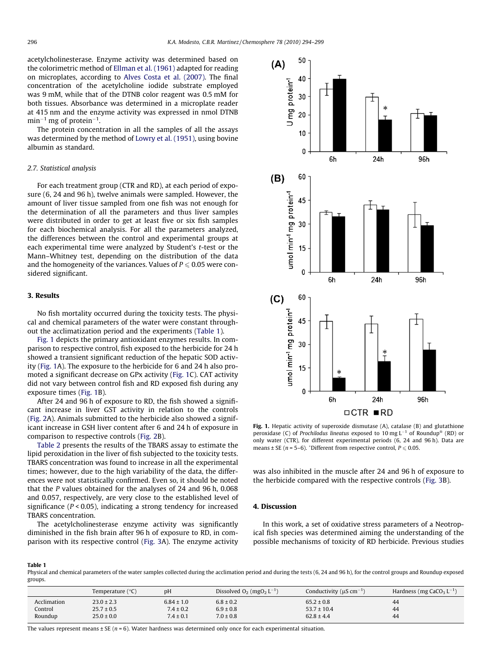acetylcholinesterase. Enzyme activity was determined based on the colorimetric method of [Ellman et al. \(1961\)](#page-4-0) adapted for reading on microplates, according to [Alves Costa et al. \(2007\).](#page-4-0) The final concentration of the acetylcholine iodide substrate employed was 9 mM, while that of the DTNB color reagent was 0.5 mM for both tissues. Absorbance was determined in a microplate reader at 415 nm and the enzyme activity was expressed in nmol DTNB  $\text{min}^{-1}$  mg of protein<sup>-1</sup>.

The protein concentration in all the samples of all the assays was determined by the method of [Lowry et al. \(1951\)](#page-5-0), using bovine albumin as standard.

# 2.7. Statistical analysis

For each treatment group (CTR and RD), at each period of exposure (6, 24 and 96 h), twelve animals were sampled. However, the amount of liver tissue sampled from one fish was not enough for the determination of all the parameters and thus liver samples were distributed in order to get at least five or six fish samples for each biochemical analysis. For all the parameters analyzed, the differences between the control and experimental groups at each experimental time were analyzed by Student's t-test or the Mann–Whitney test, depending on the distribution of the data and the homogeneity of the variances. Values of  $P \le 0.05$  were considered significant.

#### 3. Results

No fish mortality occurred during the toxicity tests. The physical and chemical parameters of the water were constant throughout the acclimatization period and the experiments (Table 1).

Fig. 1 depicts the primary antioxidant enzymes results. In comparison to respective control, fish exposed to the herbicide for 24 h showed a transient significant reduction of the hepatic SOD activity (Fig. 1A). The exposure to the herbicide for 6 and 24 h also promoted a significant decrease on GPx activity (Fig. 1C). CAT activity did not vary between control fish and RD exposed fish during any exposure times (Fig. 1B).

After 24 and 96 h of exposure to RD, the fish showed a significant increase in liver GST activity in relation to the controls ([Fig. 2A](#page-3-0)). Animals submitted to the herbicide also showed a significant increase in GSH liver content after 6 and 24 h of exposure in comparison to respective controls [\(Fig. 2B](#page-3-0)).

[Table 2](#page-3-0) presents the results of the TBARS assay to estimate the lipid peroxidation in the liver of fish subjected to the toxicity tests. TBARS concentration was found to increase in all the experimental times; however, due to the high variability of the data, the differences were not statistically confirmed. Even so, it should be noted that the P values obtained for the analyses of 24 and 96 h, 0.068 and 0.057, respectively, are very close to the established level of significance ( $P < 0.05$ ), indicating a strong tendency for increased TBARS concentration.

The acetylcholinesterase enzyme activity was significantly diminished in the fish brain after 96 h of exposure to RD, in comparison with its respective control ([Fig. 3](#page-3-0)A). The enzyme activity



Fig. 1. Hepatic activity of superoxide dismutase (A), catalase (B) and glutathione peroxidase (C) of Prochilodus lineatus exposed to 10 mg  $L^{-1}$  of Roundup® (RD) or only water (CTR), for different experimental periods (6, 24 and 96 h). Data are means  $\pm$  SE (n = 5–6). \*Different from respective control,  $P \le 0.05$ .

was also inhibited in the muscle after 24 and 96 h of exposure to the herbicide compared with the respective controls [\(Fig. 3B](#page-3-0)).

# 4. Discussion

In this work, a set of oxidative stress parameters of a Neotropical fish species was determined aiming the understanding of the possible mechanisms of toxicity of RD herbicide. Previous studies

#### Table 1

Physical and chemical parameters of the water samples collected during the acclimation period and during the tests (6, 24 and 96 h), for the control groups and Roundup exposed groups.

|             | Temperature (°C) | pH             | Dissolved $O_2$ (mg $O_2$ L <sup>-1</sup> ) | Conductivity ( $\mu$ S cm <sup>-1</sup> ) | Hardness (mg CaCO <sub>3</sub> $L^{-1}$ ) |
|-------------|------------------|----------------|---------------------------------------------|-------------------------------------------|-------------------------------------------|
| Acclimation | $23.0 \pm 2.3$   | $6.84 \pm 1.0$ | $6.8 \pm 0.2$                               | $65.2 \pm 0.8$                            | 44                                        |
| Control     | $25.7 \pm 0.5$   | $7.4 \pm 0.2$  | $6.9 \pm 0.8$                               | $53.7 \pm 10.4$                           | 44                                        |
| Roundup     | $25.0 \pm 0.0$   | $7.4 \pm 0.1$  | $7.0 \pm 0.8$                               | $62.8 \pm 4.4$                            | 44                                        |

The values represent means  $\pm$  SE (n = 6). Water hardness was determined only once for each experimental situation.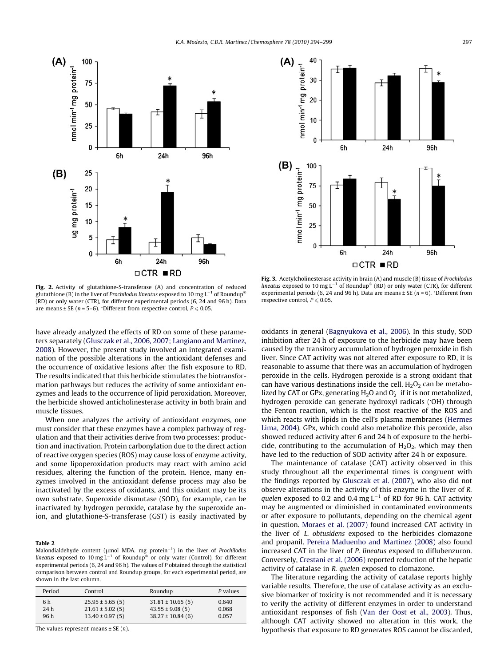<span id="page-3-0"></span>



Fig. 2. Activity of glutathione-S-transferase (A) and concentration of reduced glutathione (B) in the liver of Prochilodus lineatus exposed to 10 mg L $^{-1}$  of Roundup $^\circ$ (RD) or only water (CTR), for different experimental periods (6, 24 and 96 h). Data are means  $\pm$  SE ( $n = 5$ –6). \*Different from respective control,  $P \le 0.05$ .

Fig. 3. Acetylcholinesterase activity in brain (A) and muscle (B) tissue of Prochilodus lineatus exposed to 10 mg L<sup>-1</sup> of Roundup® (RD) or only water (CTR), for different experimental periods (6, 24 and 96 h). Data are means  $\pm$  SE ( $n = 6$ ).  $\pm$ Different from respective control,  $P \le 0.05$ .

have already analyzed the effects of RD on some of these parameters separately ([Glusczak et al., 2006, 2007; Langiano and Martinez,](#page-4-0) [2008](#page-4-0)). However, the present study involved an integrated examination of the possible alterations in the antioxidant defenses and the occurrence of oxidative lesions after the fish exposure to RD. The results indicated that this herbicide stimulates the biotransformation pathways but reduces the activity of some antioxidant enzymes and leads to the occurrence of lipid peroxidation. Moreover, the herbicide showed anticholinesterase activity in both brain and muscle tissues.

When one analyzes the activity of antioxidant enzymes, one must consider that these enzymes have a complex pathway of regulation and that their activities derive from two processes: production and inactivation. Protein carbonylation due to the direct action of reactive oxygen species (ROS) may cause loss of enzyme activity, and some lipoperoxidation products may react with amino acid residues, altering the function of the protein. Hence, many enzymes involved in the antioxidant defense process may also be inactivated by the excess of oxidants, and this oxidant may be its own substrate. Superoxide dismutase (SOD), for example, can be inactivated by hydrogen peroxide, catalase by the superoxide anion, and glutathione-S-transferase (GST) is easily inactivated by

#### Table 2

Malondialdehyde content ( $\mu$ mol MDA. mg protein<sup>-1</sup>) in the liver of Prochilodus lineatus exposed to 10 mg L<sup>-1</sup> of Roundup<sup>®</sup> or only water (Control), for different experimental periods (6, 24 and 96 h). The values of P obtained through the statistical comparison between control and Roundup groups, for each experimental period, are shown in the last column.

| Period | Control             | Roundup              | P values |
|--------|---------------------|----------------------|----------|
| 6 h    | $25.95 \pm 5.65(5)$ | $31.81 \pm 10.65(5)$ | 0.640    |
| 24 h   | $21.61 \pm 5.02(5)$ | $43.55 \pm 9.08(5)$  | 0.068    |
| 96 h   | $13.40 \pm 0.97(5)$ | $38.27 \pm 10.84(6)$ | 0.057    |

The values represent means  $\pm$  SE  $(n)$ .

oxidants in general ([Bagnyukova et al., 2006](#page-4-0)). In this study, SOD inhibition after 24 h of exposure to the herbicide may have been caused by the transitory accumulation of hydrogen peroxide in fish liver. Since CAT activity was not altered after exposure to RD, it is reasonable to assume that there was an accumulation of hydrogen peroxide in the cells. Hydrogen peroxide is a strong oxidant that can have various destinations inside the cell.  $H_2O_2$  can be metabolized by CAT or GPx, generating  $\mathrm{H}_2\mathrm{O}$  and  $\mathrm{O}_2^{\cdot-}$  if it is not metabolized, hydrogen peroxide can generate hydroxyl radicals (OH) through the Fenton reaction, which is the most reactive of the ROS and which reacts with lipids in the cell's plasma membranes [\(Hermes](#page-4-0) [Lima, 2004](#page-4-0)). GPx, which could also metabolize this peroxide, also showed reduced activity after 6 and 24 h of exposure to the herbicide, contributing to the accumulation of  $H_2O_2$ , which may then have led to the reduction of SOD activity after 24 h or exposure.

The maintenance of catalase (CAT) activity observed in this study throughout all the experimental times is congruent with the findings reported by [Glusczak et al. \(2007\)](#page-4-0), who also did not observe alterations in the activity of this enzyme in the liver of R. quelen exposed to 0.2 and 0.4 mg L<sup>-1</sup> of RD for 96 h. CAT activity may be augmented or diminished in contaminated environments or after exposure to pollutants, depending on the chemical agent in question. [Moraes et al. \(2007\)](#page-5-0) found increased CAT activity in the liver of L. obtusidens exposed to the herbicides clomazone and propanil. [Pereira Maduenho and Martinez \(2008\)](#page-5-0) also found increased CAT in the liver of P. lineatus exposed to diflubenzuron. Conversely, [Crestani et al. \(2006\)](#page-4-0) reported reduction of the hepatic activity of catalase in R. quelen exposed to clomazone.

The literature regarding the activity of catalase reports highly variable results. Therefore, the use of catalase activity as an exclusive biomarker of toxicity is not recommended and it is necessary to verify the activity of different enzymes in order to understand antioxidant responses of fish [\(Van der Oost et al., 2003\)](#page-5-0). Thus, although CAT activity showed no alteration in this work, the hypothesis that exposure to RD generates ROS cannot be discarded,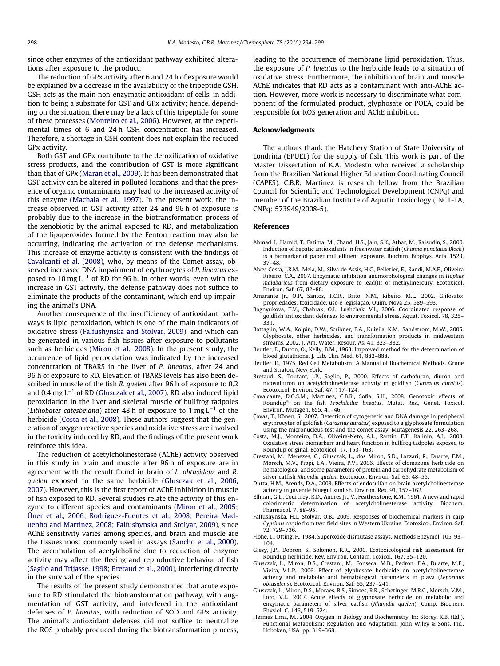<span id="page-4-0"></span>since other enzymes of the antioxidant pathway exhibited alterations after exposure to the product.

The reduction of GPx activity after 6 and 24 h of exposure would be explained by a decrease in the availability of the tripeptide GSH. GSH acts as the main non-enzymatic antioxidant of cells, in addition to being a substrate for GST and GPx activity; hence, depending on the situation, there may be a lack of this tripeptide for some of these processes [\(Monteiro et al., 2006](#page-5-0)). However, at the experimental times of 6 and 24 h GSH concentration has increased. Therefore, a shortage in GSH content does not explain the reduced GPx activity.

Both GST and GPx contribute to the detoxification of oxidative stress products, and the contribution of GST is more significant than that of GPx ([Maran et al., 2009\)](#page-5-0). It has been demonstrated that GST activity can be altered in polluted locations, and that the presence of organic contaminants may lead to the increased activity of this enzyme [\(Machala et al., 1997\)](#page-5-0). In the present work, the increase observed in GST activity after 24 and 96 h of exposure is probably due to the increase in the biotransformation process of the xenobiotic by the animal exposed to RD, and metabolization of the lipoperoxides formed by the Fenton reaction may also be occurring, indicating the activation of the defense mechanisms. This increase of enzyme activity is consistent with the findings of Cavalcanti et al. (2008), who, by means of the Comet assay, observed increased DNA impairment of erythrocytes of P. lineatus exposed to 10 mg  $L^{-1}$  of RD for 96 h. In other words, even with the increase in GST activity, the defense pathway does not suffice to eliminate the products of the contaminant, which end up impairing the animal's DNA.

Another consequence of the insufficiency of antioxidant pathways is lipid peroxidation, which is one of the main indicators of oxidative stress (Falfushynska and Stolyar, 2009), and which can be generated in various fish tissues after exposure to pollutants such as herbicides ([Miron et al., 2008](#page-5-0)). In the present study, the occurrence of lipid peroxidation was indicated by the increased concentration of TBARS in the liver of P. lineatus, after 24 and 96 h of exposure to RD. Elevation of TBARS levels has also been described in muscle of the fish R. quelen after 96 h of exposure to 0.2 and 0.4 mg  $L^{-1}$  of RD (Glusczak et al., 2007). RD also induced lipid peroxidation in the liver and skeletal muscle of bullfrog tadpoles (Lithobates catesbeiana) after 48 h of exposure to 1 mg L $^{-1}$  of the herbicide (Costa et al., 2008). These authors suggest that the generation of oxygen reactive species and oxidative stress are involved in the toxicity induced by RD, and the findings of the present work reinforce this idea.

The reduction of acetylcholinesterase (AChE) activity observed in this study in brain and muscle after 96 h of exposure are in agreement with the result found in brain of L. obtusidens and R. quelen exposed to the same herbicide (Glusczak et al., 2006, 2007). However, this is the first report of AChE inhibition in muscle of fish exposed to RD. Several studies relate the activity of this enzyme to different species and contaminants ([Miron et al., 2005;](#page-5-0) [Üner et al., 2006; Rodríguez-Fuentes et al., 2008; Pereira Mad](#page-5-0)[uenho and Martinez, 2008; Falfushynska and Stolyar, 2009\)](#page-5-0), since AChE sensitivity varies among species, and brain and muscle are the tissues most commonly used in assays [\(Sancho et al., 2000\)](#page-5-0). The accumulation of acetylcholine due to reduction of enzyme activity may affect the fleeing and reproductive behavior of fish ([Saglio and Trijasse, 1998; Bretaud et al., 2000\)](#page-5-0), interfering directly in the survival of the species.

The results of the present study demonstrated that acute exposure to RD stimulated the biotransformation pathway, with augmentation of GST activity, and interfered in the antioxidant defenses of P. lineatus, with reduction of SOD and GPx activity. The animal's antioxidant defenses did not suffice to neutralize the ROS probably produced during the biotransformation process, leading to the occurrence of membrane lipid peroxidation. Thus, the exposure of P. lineatus to the herbicide leads to a situation of oxidative stress. Furthermore, the inhibition of brain and muscle AChE indicates that RD acts as a contaminant with anti-AChE action. However, more work is necessary to discriminate what component of the formulated product, glyphosate or POEA, could be responsible for ROS generation and AChE inhibition.

# Acknowledgments

The authors thank the Hatchery Station of State University of Londrina (EPUEL) for the supply of fish. This work is part of the Master Dissertation of K.A. Modesto who received a scholarship from the Brazilian National Higher Education Coordinating Council (CAPES). C.B.R. Martinez is research fellow from the Brazilian Council for Scientific and Technological Development (CNPq) and member of the Brazilian Institute of Aquatic Toxicology (INCT-TA, CNPq: 573949/2008-5).

#### References

- Ahmad, I., Hamid, T., Fatima, M., Chand, H.S., Jain, S.K., Athar, M., Raisudin, S., 2000. Induction of hepatic antioxidants in freshwater catfish (Channa punctatus Bloch) is a biomarker of paper mill effluent exposure. Biochim. Biophys. Acta. 1523, 37–48.
- Alves Costa, J.R.M., Mela, M., Silva de Assis, H.C., Pelletier, E., Randi, M.A.F., Oliveira Ribeiro, C.A., 2007. Enzymatic inhibition andmorphological changes in Hoplias malabaricus from dietary exposure to lead(II) or methylmercury. Ecotoxicol. Environ. Saf. 67, 82–88.
- Amarante Jr., O.P., Santos, T.C.R., Brito, N.M., Ribeiro, M.L., 2002. Glifosato:
- propriedades, toxicidade, uso e legislação. Quim. Nova 25, 589–593. Bagnyukova, T.V., Chahrak, O.I., Lushchak, V.I., 2006. Coordinated response of goldfish antioxidant defenses to environmental stress. Aquat. Toxicol. 78, 325– 331.
- Battaglin, W.A., Kolpin, D.W., Scribner, E.A., Kuivila, K.M., Sandstrom, M.W., 2005. Glyphosate, other herbicides, and transformation products in midwestern streams, 2002. J. Am. Water. Resour. As. 41, 323–332.
- Beutler, E., Duron, O., Kelly, B.M., 1963. Improved method for the determination of blood glutathione. J. Lab. Clin. Med. 61, 882–888.
- Beutler, E., 1975. Red Cell Metabolism: A Manual of Biochemical Methods. Grune and Straton, New York.
- Bretaud, S., Toutant, J.P., Saglio, P., 2000. Effects of carbofuran, diuron and nicosulfuron on acetylcholinesterase activity in goldfish (Carassius auratus). Ecotoxicol. Environ. Saf. 47, 117–124.
- Cavalcante, D.G.S.M., Martinez, C.B.R., Sofia, S.H., 2008. Genotoxic effects of Roundup<sup>®</sup> on the fish Prochilodus lineatus. Mutat. Res., Genet. Toxicol. Environ. Mutagen. 655, 41–46.
- Çavas, T., Könen, S., 2007. Detection of cytogenetic and DNA damage in peripheral erythrocytes of goldfish (Carassius auratus) exposed to a glyphosate formulation using the micronucleus test and the comet assay. Mutagenesis 22, 263–268.
- Costa, M.J., Monteiro, D.A., Oliveira-Neto, A.L., Rantin, F.T., Kalinin, A.L., 2008. Oxidative stress biomarkers and heart function in bullfrog tadpoles exposed to Roundup original. Ecotoxicol. 17, 153–163.
- Crestani, M., Menezes, C., Glusczak, L., dos Miron, S.D., Lazzari, R., Duarte, F.M., Morsch, M.V., Pippi, L.A., Vieira, P.V., 2006. Effects of clomazone herbicide on hematological and some parameters of protein and carbohydrate metabolism of silver catfish Rhamdia quelen. Ecotoxicol. Environ. Saf. 65, 48–55.
- Dutta, H.M., Arends, D.A., 2003. Effects of endosulfan on brain acetylcholinesterase activity in juvenile bluegill sunfish. Environ. Res. 91, 157–162.
- Ellman, G.L., Courtney, K.D., Andres Jr., V., Featherstone, R.M., 1961. A new and rapid colorimetric determination of acetylcholinesterase activity. Biochem. Pharmacol. 7, 88–95.
- Falfushynska, H.I., Stolyar, O.B., 2009. Responses of biochemical markers in carp Cyprinus carpio from two field sites in Western Ukraine. Ecotoxicol. Environ. Saf. 72, 729–736.
- Flohé, L., Otting, F., 1984. Superoxide dismutase assays. Methods Enzymol. 105, 93– 104.
- Giesy, J.P., Dobson, S., Solomon, K.R., 2000. Ecotoxicological risk assessment for Roundup herbicide. Rev. Environ. Contam. Toxicol. 167, 35–120.
- Glusczak, L., Miron, D.S., Crestani, M., Fonseca, M.B., Pedron, F.A., Duarte, M.F., Vieira, V.L.P., 2006. Effect of glyphosate herbicide on acetylcholinesterase activity and metabolic and hematological parameters in piava (Leporinus obtusidens). Ecotoxicol. Environ. Saf. 65, 237–241.
- Glusczak, L., Miron, D.S., Moraes, B.S., Simoes, R.R., Schetinger, M.R.C., Morsch, V.M., Loro, V.L., 2007. Acute effects of glyphosate herbicide on metabolic and enzymatic parameters of silver catfish (Rhamdia quelen). Comp. Biochem. Physiol. C. 146, 519–524.
- Hermes Lima, M., 2004. Oxygen in Biology and Biochemistry. In: Storey, K.B. (Ed.), Functional Metabolism: Regulation and Adaptation. John Wiley & Sons, Inc., Hoboken, USA, pp. 319–368.